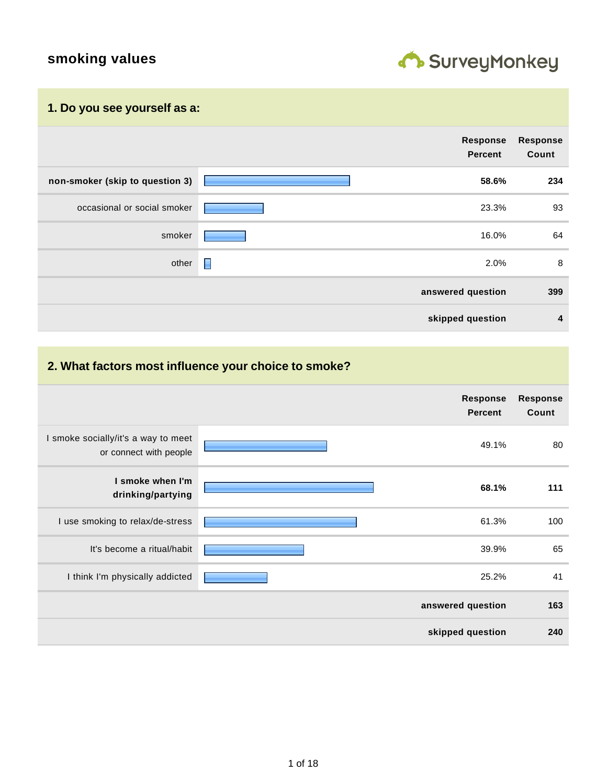# **smoking values**



#### **1. Do you see yourself as a:**

|                                 |                | Response<br>Percent | <b>Response</b><br>Count |
|---------------------------------|----------------|---------------------|--------------------------|
| non-smoker (skip to question 3) |                | 58.6%               | 234                      |
| occasional or social smoker     |                | 23.3%               | 93                       |
| smoker                          |                | 16.0%               | 64                       |
| other                           | $\blacksquare$ | 2.0%                | 8                        |
|                                 |                | answered question   | 399                      |
|                                 |                | skipped question    | 4                        |

## **2. What factors most influence your choice to smoke?**

|                                                               | <b>Response</b><br><b>Percent</b> | <b>Response</b><br>Count |
|---------------------------------------------------------------|-----------------------------------|--------------------------|
| I smoke socially/it's a way to meet<br>or connect with people | 49.1%                             | 80                       |
| I smoke when I'm<br>drinking/partying                         | 68.1%                             | 111                      |
| I use smoking to relax/de-stress                              | 61.3%                             | 100                      |
| It's become a ritual/habit                                    | 39.9%                             | 65                       |
| I think I'm physically addicted                               | 25.2%                             | 41                       |
|                                                               | answered question                 | 163                      |
|                                                               | skipped question                  | 240                      |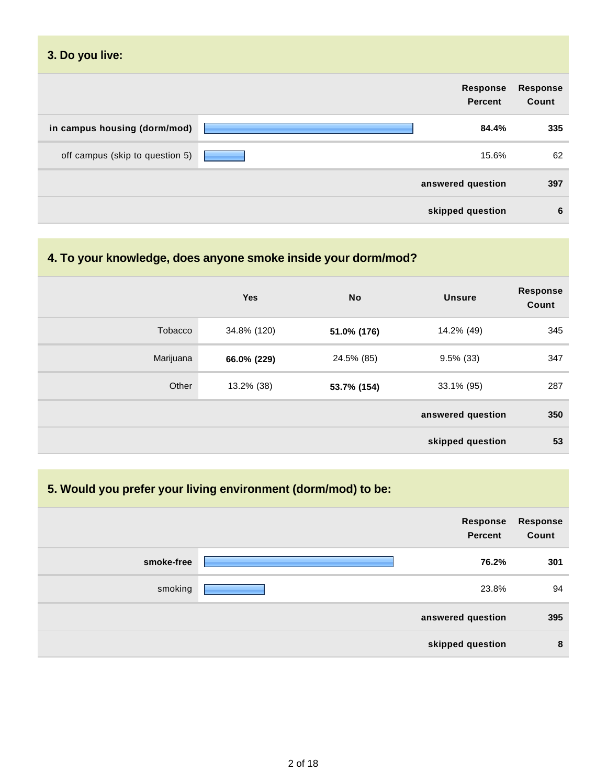| 3. Do you live:                 |                            |                   |
|---------------------------------|----------------------------|-------------------|
|                                 | Response<br><b>Percent</b> | Response<br>Count |
| in campus housing (dorm/mod)    | 84.4%                      | 335               |
| off campus (skip to question 5) | 15.6%                      | 62                |
|                                 | answered question          | 397               |
|                                 | skipped question           | 6                 |

## **4. To your knowledge, does anyone smoke inside your dorm/mod?**

|                | Yes         | <b>No</b>   | <b>Unsure</b>     | <b>Response</b><br>Count |
|----------------|-------------|-------------|-------------------|--------------------------|
| <b>Tobacco</b> | 34.8% (120) | 51.0% (176) | 14.2% (49)        | 345                      |
| Marijuana      | 66.0% (229) | 24.5% (85)  | $9.5\%$ (33)      | 347                      |
| Other          | 13.2% (38)  | 53.7% (154) | 33.1% (95)        | 287                      |
|                |             |             | answered question | 350                      |
|                |             |             | skipped question  | 53                       |

## **5. Would you prefer your living environment (dorm/mod) to be:**

|            | Response<br><b>Percent</b> | Response<br>Count |
|------------|----------------------------|-------------------|
| smoke-free | 76.2%                      | 301               |
| smoking    | 23.8%                      | 94                |
|            | answered question          | 395               |
|            | skipped question           | 8                 |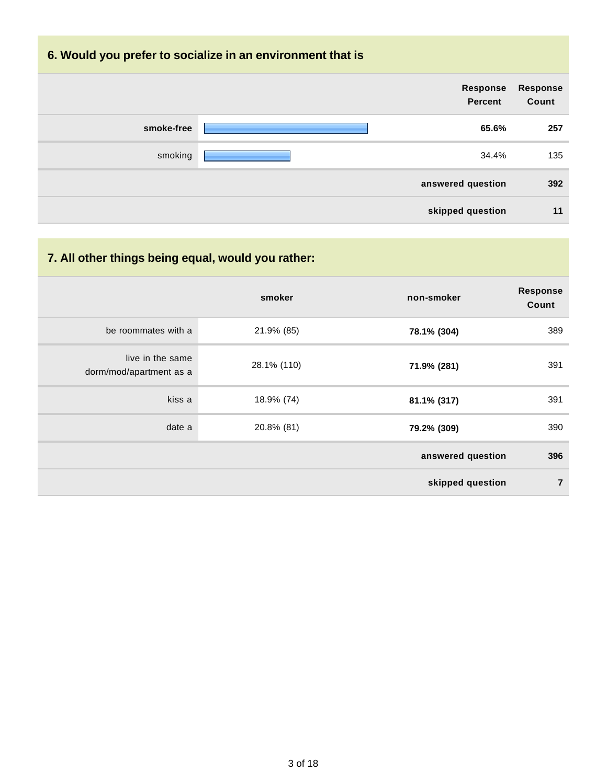## **6. Would you prefer to socialize in an environment that is**

|            | Response<br>Percent | Response<br>Count |
|------------|---------------------|-------------------|
| smoke-free | 65.6%               | 257               |
| smoking    | 34.4%               | 135               |
|            | answered question   | 392               |
|            | skipped question    | 11                |

## **7. All other things being equal, would you rather:**

|                                             | smoker      | non-smoker        | <b>Response</b><br>Count |
|---------------------------------------------|-------------|-------------------|--------------------------|
| be roommates with a                         | 21.9% (85)  | 78.1% (304)       | 389                      |
| live in the same<br>dorm/mod/apartment as a | 28.1% (110) | 71.9% (281)       | 391                      |
| kiss a                                      | 18.9% (74)  | 81.1% (317)       | 391                      |
| date a                                      | 20.8% (81)  | 79.2% (309)       | 390                      |
|                                             |             | answered question | 396                      |
|                                             |             | skipped question  | $\overline{7}$           |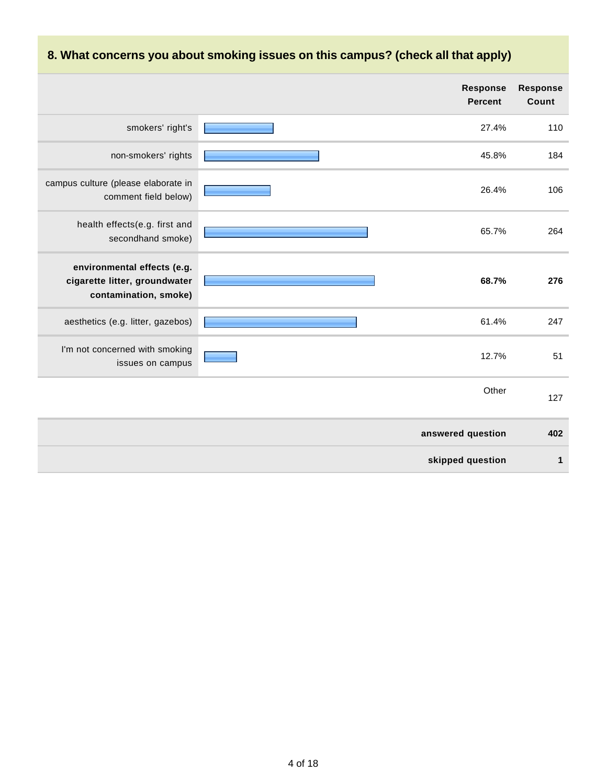|                                                                                       | <b>Response</b><br><b>Percent</b> | <b>Response</b><br>Count |
|---------------------------------------------------------------------------------------|-----------------------------------|--------------------------|
| smokers' right's                                                                      | 27.4%                             | 110                      |
| non-smokers' rights                                                                   | 45.8%                             | 184                      |
| campus culture (please elaborate in<br>comment field below)                           | 26.4%                             | 106                      |
| health effects(e.g. first and<br>secondhand smoke)                                    | 65.7%                             | 264                      |
| environmental effects (e.g.<br>cigarette litter, groundwater<br>contamination, smoke) | 68.7%                             | 276                      |
| aesthetics (e.g. litter, gazebos)                                                     | 61.4%                             | 247                      |
| I'm not concerned with smoking<br>issues on campus                                    | 12.7%                             | 51                       |
|                                                                                       | Other                             | 127                      |
|                                                                                       | answered question                 | 402                      |
|                                                                                       | skipped question                  | 1                        |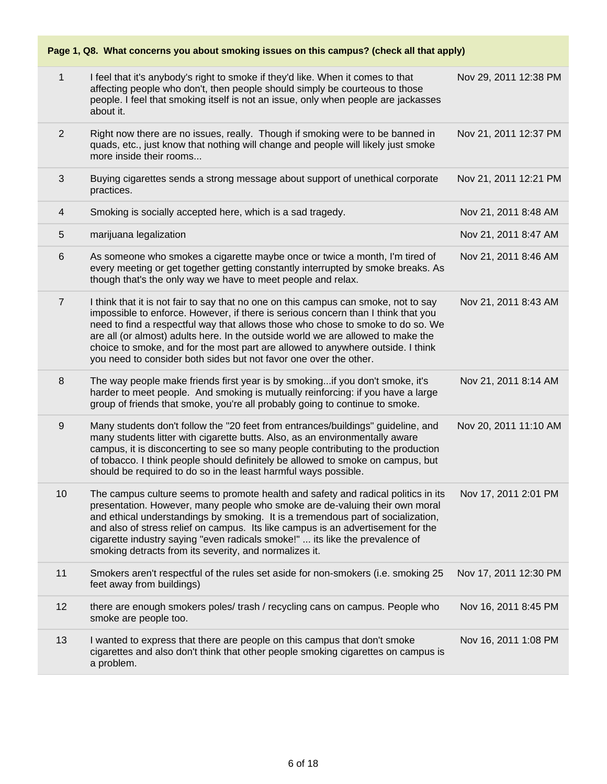**Page 1, Q8. What concerns you about smoking issues on this campus? (check all that apply)**

| $\mathbf{1}$   | I feel that it's anybody's right to smoke if they'd like. When it comes to that<br>affecting people who don't, then people should simply be courteous to those<br>people. I feel that smoking itself is not an issue, only when people are jackasses<br>about it.                                                                                                                                                                                                                                       | Nov 29, 2011 12:38 PM |
|----------------|---------------------------------------------------------------------------------------------------------------------------------------------------------------------------------------------------------------------------------------------------------------------------------------------------------------------------------------------------------------------------------------------------------------------------------------------------------------------------------------------------------|-----------------------|
| $\overline{2}$ | Right now there are no issues, really. Though if smoking were to be banned in<br>quads, etc., just know that nothing will change and people will likely just smoke<br>more inside their rooms                                                                                                                                                                                                                                                                                                           | Nov 21, 2011 12:37 PM |
| $\mathfrak{S}$ | Buying cigarettes sends a strong message about support of unethical corporate<br>practices.                                                                                                                                                                                                                                                                                                                                                                                                             | Nov 21, 2011 12:21 PM |
| 4              | Smoking is socially accepted here, which is a sad tragedy.                                                                                                                                                                                                                                                                                                                                                                                                                                              | Nov 21, 2011 8:48 AM  |
| 5              | marijuana legalization                                                                                                                                                                                                                                                                                                                                                                                                                                                                                  | Nov 21, 2011 8:47 AM  |
| 6              | As someone who smokes a cigarette maybe once or twice a month, I'm tired of<br>every meeting or get together getting constantly interrupted by smoke breaks. As<br>though that's the only way we have to meet people and relax.                                                                                                                                                                                                                                                                         | Nov 21, 2011 8:46 AM  |
| $\overline{7}$ | I think that it is not fair to say that no one on this campus can smoke, not to say<br>impossible to enforce. However, if there is serious concern than I think that you<br>need to find a respectful way that allows those who chose to smoke to do so. We<br>are all (or almost) adults here. In the outside world we are allowed to make the<br>choice to smoke, and for the most part are allowed to anywhere outside. I think<br>you need to consider both sides but not favor one over the other. | Nov 21, 2011 8:43 AM  |
| 8              | The way people make friends first year is by smoking if you don't smoke, it's<br>harder to meet people. And smoking is mutually reinforcing: if you have a large<br>group of friends that smoke, you're all probably going to continue to smoke.                                                                                                                                                                                                                                                        | Nov 21, 2011 8:14 AM  |
| 9              | Many students don't follow the "20 feet from entrances/buildings" guideline, and<br>many students litter with cigarette butts. Also, as an environmentally aware<br>campus, it is disconcerting to see so many people contributing to the production<br>of tobacco. I think people should definitely be allowed to smoke on campus, but<br>should be required to do so in the least harmful ways possible.                                                                                              | Nov 20, 2011 11:10 AM |
| 10             | The campus culture seems to promote health and safety and radical politics in its<br>presentation. However, many people who smoke are de-valuing their own moral<br>and ethical understandings by smoking. It is a tremendous part of socialization,<br>and also of stress relief on campus. Its like campus is an advertisement for the<br>cigarette industry saying "even radicals smoke!"  its like the prevalence of<br>smoking detracts from its severity, and normalizes it.                      | Nov 17, 2011 2:01 PM  |
| 11             | Smokers aren't respectful of the rules set aside for non-smokers (i.e. smoking 25<br>feet away from buildings)                                                                                                                                                                                                                                                                                                                                                                                          | Nov 17, 2011 12:30 PM |
| 12             | there are enough smokers poles/ trash / recycling cans on campus. People who<br>smoke are people too.                                                                                                                                                                                                                                                                                                                                                                                                   | Nov 16, 2011 8:45 PM  |
| 13             | I wanted to express that there are people on this campus that don't smoke<br>cigarettes and also don't think that other people smoking cigarettes on campus is<br>a problem.                                                                                                                                                                                                                                                                                                                            | Nov 16, 2011 1:08 PM  |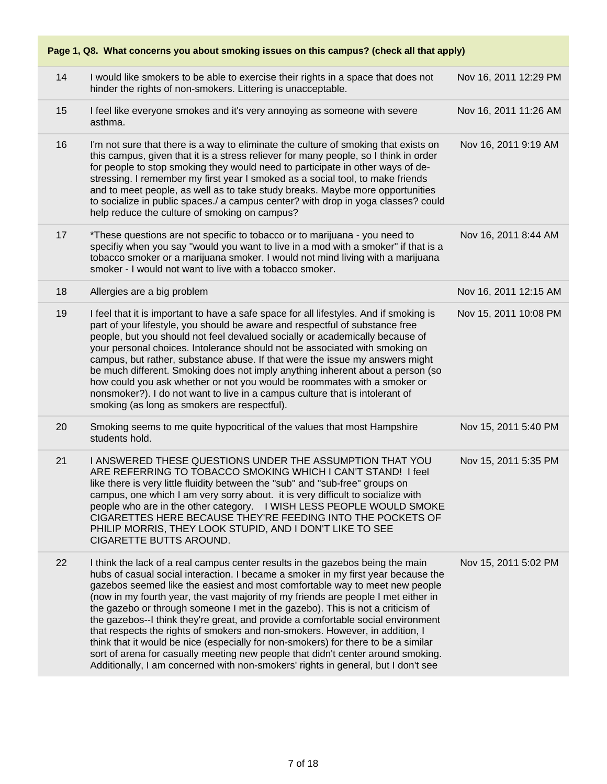|    | Page 1, Q8. What concerns you about smoking issues on this campus? (check all that apply)                                                                                                                                                                                                                                                                                                                                                                                                                                                                                                                                                                                                                                                                                                                                                                     |                       |  |  |
|----|---------------------------------------------------------------------------------------------------------------------------------------------------------------------------------------------------------------------------------------------------------------------------------------------------------------------------------------------------------------------------------------------------------------------------------------------------------------------------------------------------------------------------------------------------------------------------------------------------------------------------------------------------------------------------------------------------------------------------------------------------------------------------------------------------------------------------------------------------------------|-----------------------|--|--|
| 14 | I would like smokers to be able to exercise their rights in a space that does not<br>hinder the rights of non-smokers. Littering is unacceptable.                                                                                                                                                                                                                                                                                                                                                                                                                                                                                                                                                                                                                                                                                                             | Nov 16, 2011 12:29 PM |  |  |
| 15 | I feel like everyone smokes and it's very annoying as someone with severe<br>asthma.                                                                                                                                                                                                                                                                                                                                                                                                                                                                                                                                                                                                                                                                                                                                                                          | Nov 16, 2011 11:26 AM |  |  |
| 16 | I'm not sure that there is a way to eliminate the culture of smoking that exists on<br>this campus, given that it is a stress reliever for many people, so I think in order<br>for people to stop smoking they would need to participate in other ways of de-<br>stressing. I remember my first year I smoked as a social tool, to make friends<br>and to meet people, as well as to take study breaks. Maybe more opportunities<br>to socialize in public spaces./ a campus center? with drop in yoga classes? could<br>help reduce the culture of smoking on campus?                                                                                                                                                                                                                                                                                        | Nov 16, 2011 9:19 AM  |  |  |
| 17 | *These questions are not specific to tobacco or to marijuana - you need to<br>specifiy when you say "would you want to live in a mod with a smoker" if that is a<br>tobacco smoker or a marijuana smoker. I would not mind living with a marijuana<br>smoker - I would not want to live with a tobacco smoker.                                                                                                                                                                                                                                                                                                                                                                                                                                                                                                                                                | Nov 16, 2011 8:44 AM  |  |  |
| 18 | Allergies are a big problem                                                                                                                                                                                                                                                                                                                                                                                                                                                                                                                                                                                                                                                                                                                                                                                                                                   | Nov 16, 2011 12:15 AM |  |  |
| 19 | I feel that it is important to have a safe space for all lifestyles. And if smoking is<br>part of your lifestyle, you should be aware and respectful of substance free<br>people, but you should not feel devalued socially or academically because of<br>your personal choices. Intolerance should not be associated with smoking on<br>campus, but rather, substance abuse. If that were the issue my answers might<br>be much different. Smoking does not imply anything inherent about a person (so<br>how could you ask whether or not you would be roommates with a smoker or<br>nonsmoker?). I do not want to live in a campus culture that is intolerant of<br>smoking (as long as smokers are respectful).                                                                                                                                           | Nov 15, 2011 10:08 PM |  |  |
| 20 | Smoking seems to me quite hypocritical of the values that most Hampshire<br>students hold.                                                                                                                                                                                                                                                                                                                                                                                                                                                                                                                                                                                                                                                                                                                                                                    | Nov 15, 2011 5:40 PM  |  |  |
| 21 | I ANSWERED THESE QUESTIONS UNDER THE ASSUMPTION THAT YOU<br>ARE REFERRING TO TOBACCO SMOKING WHICH I CAN'T STAND! I feel<br>like there is very little fluidity between the "sub" and "sub-free" groups on<br>campus, one which I am very sorry about. it is very difficult to socialize with<br>people who are in the other category. I WISH LESS PEOPLE WOULD SMOKE<br>CIGARETTES HERE BECAUSE THEY'RE FEEDING INTO THE POCKETS OF<br>PHILIP MORRIS, THEY LOOK STUPID, AND I DON'T LIKE TO SEE<br>CIGARETTE BUTTS AROUND.                                                                                                                                                                                                                                                                                                                                    | Nov 15, 2011 5:35 PM  |  |  |
| 22 | I think the lack of a real campus center results in the gazebos being the main<br>hubs of casual social interaction. I became a smoker in my first year because the<br>gazebos seemed like the easiest and most comfortable way to meet new people<br>(now in my fourth year, the vast majority of my friends are people I met either in<br>the gazebo or through someone I met in the gazebo). This is not a criticism of<br>the gazebos--I think they're great, and provide a comfortable social environment<br>that respects the rights of smokers and non-smokers. However, in addition, I<br>think that it would be nice (especially for non-smokers) for there to be a similar<br>sort of arena for casually meeting new people that didn't center around smoking.<br>Additionally, I am concerned with non-smokers' rights in general, but I don't see | Nov 15, 2011 5:02 PM  |  |  |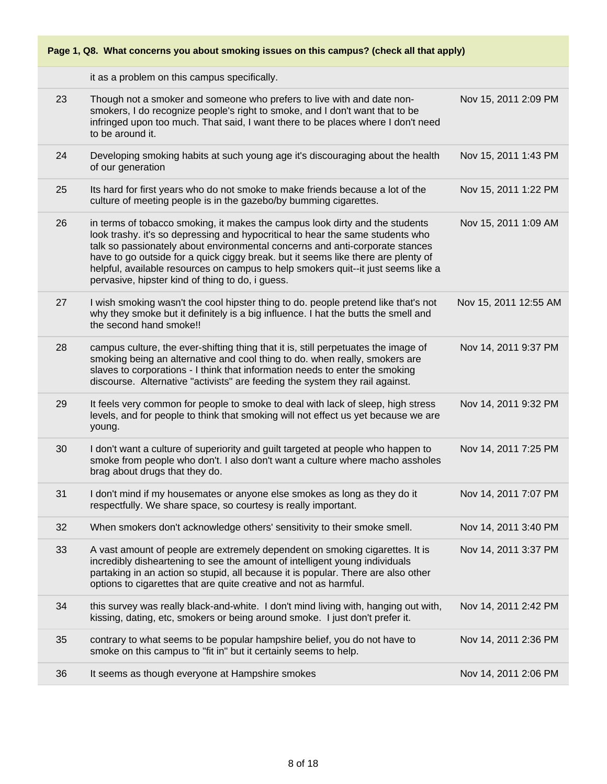it as a problem on this campus specifically.

| 23 | Though not a smoker and someone who prefers to live with and date non-<br>smokers, I do recognize people's right to smoke, and I don't want that to be<br>infringed upon too much. That said, I want there to be places where I don't need<br>to be around it.                                                                                                                                                                                                               | Nov 15, 2011 2:09 PM  |
|----|------------------------------------------------------------------------------------------------------------------------------------------------------------------------------------------------------------------------------------------------------------------------------------------------------------------------------------------------------------------------------------------------------------------------------------------------------------------------------|-----------------------|
| 24 | Developing smoking habits at such young age it's discouraging about the health<br>of our generation                                                                                                                                                                                                                                                                                                                                                                          | Nov 15, 2011 1:43 PM  |
| 25 | Its hard for first years who do not smoke to make friends because a lot of the<br>culture of meeting people is in the gazebo/by bumming cigarettes.                                                                                                                                                                                                                                                                                                                          | Nov 15, 2011 1:22 PM  |
| 26 | in terms of tobacco smoking, it makes the campus look dirty and the students<br>look trashy. it's so depressing and hypocritical to hear the same students who<br>talk so passionately about environmental concerns and anti-corporate stances<br>have to go outside for a quick ciggy break. but it seems like there are plenty of<br>helpful, available resources on campus to help smokers quit--it just seems like a<br>pervasive, hipster kind of thing to do, i guess. | Nov 15, 2011 1:09 AM  |
| 27 | I wish smoking wasn't the cool hipster thing to do. people pretend like that's not<br>why they smoke but it definitely is a big influence. I hat the butts the smell and<br>the second hand smoke!!                                                                                                                                                                                                                                                                          | Nov 15, 2011 12:55 AM |
| 28 | campus culture, the ever-shifting thing that it is, still perpetuates the image of<br>smoking being an alternative and cool thing to do. when really, smokers are<br>slaves to corporations - I think that information needs to enter the smoking<br>discourse. Alternative "activists" are feeding the system they rail against.                                                                                                                                            | Nov 14, 2011 9:37 PM  |
| 29 | It feels very common for people to smoke to deal with lack of sleep, high stress<br>levels, and for people to think that smoking will not effect us yet because we are<br>young.                                                                                                                                                                                                                                                                                             | Nov 14, 2011 9:32 PM  |
| 30 | I don't want a culture of superiority and guilt targeted at people who happen to<br>smoke from people who don't. I also don't want a culture where macho assholes<br>brag about drugs that they do.                                                                                                                                                                                                                                                                          | Nov 14, 2011 7:25 PM  |
| 31 | I don't mind if my housemates or anyone else smokes as long as they do it<br>respectfully. We share space, so courtesy is really important.                                                                                                                                                                                                                                                                                                                                  | Nov 14, 2011 7:07 PM  |
| 32 | When smokers don't acknowledge others' sensitivity to their smoke smell.                                                                                                                                                                                                                                                                                                                                                                                                     | Nov 14, 2011 3:40 PM  |
| 33 | A vast amount of people are extremely dependent on smoking cigarettes. It is<br>incredibly disheartening to see the amount of intelligent young individuals<br>partaking in an action so stupid, all because it is popular. There are also other<br>options to cigarettes that are quite creative and not as harmful.                                                                                                                                                        | Nov 14, 2011 3:37 PM  |
| 34 | this survey was really black-and-white. I don't mind living with, hanging out with,<br>kissing, dating, etc, smokers or being around smoke. I just don't prefer it.                                                                                                                                                                                                                                                                                                          | Nov 14, 2011 2:42 PM  |
| 35 | contrary to what seems to be popular hampshire belief, you do not have to<br>smoke on this campus to "fit in" but it certainly seems to help.                                                                                                                                                                                                                                                                                                                                | Nov 14, 2011 2:36 PM  |
| 36 | It seems as though everyone at Hampshire smokes                                                                                                                                                                                                                                                                                                                                                                                                                              | Nov 14, 2011 2:06 PM  |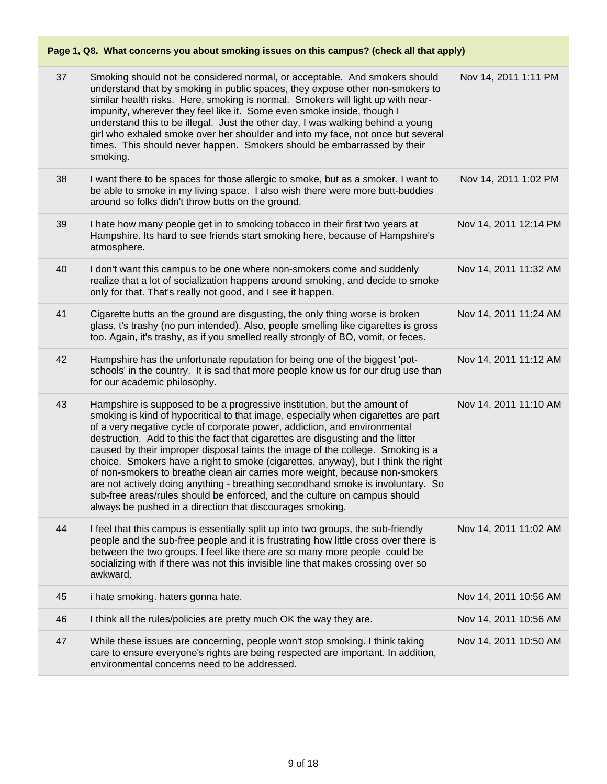| 37 | Smoking should not be considered normal, or acceptable. And smokers should<br>understand that by smoking in public spaces, they expose other non-smokers to<br>similar health risks. Here, smoking is normal. Smokers will light up with near-<br>impunity, wherever they feel like it. Some even smoke inside, though I<br>understand this to be illegal. Just the other day, I was walking behind a young<br>girl who exhaled smoke over her shoulder and into my face, not once but several<br>times. This should never happen. Smokers should be embarrassed by their<br>smoking.                                                                                                                                                                                                                               | Nov 14, 2011 1:11 PM  |
|----|---------------------------------------------------------------------------------------------------------------------------------------------------------------------------------------------------------------------------------------------------------------------------------------------------------------------------------------------------------------------------------------------------------------------------------------------------------------------------------------------------------------------------------------------------------------------------------------------------------------------------------------------------------------------------------------------------------------------------------------------------------------------------------------------------------------------|-----------------------|
| 38 | I want there to be spaces for those allergic to smoke, but as a smoker, I want to<br>be able to smoke in my living space. I also wish there were more butt-buddies<br>around so folks didn't throw butts on the ground.                                                                                                                                                                                                                                                                                                                                                                                                                                                                                                                                                                                             | Nov 14, 2011 1:02 PM  |
| 39 | I hate how many people get in to smoking tobacco in their first two years at<br>Hampshire. Its hard to see friends start smoking here, because of Hampshire's<br>atmosphere.                                                                                                                                                                                                                                                                                                                                                                                                                                                                                                                                                                                                                                        | Nov 14, 2011 12:14 PM |
| 40 | I don't want this campus to be one where non-smokers come and suddenly<br>realize that a lot of socialization happens around smoking, and decide to smoke<br>only for that. That's really not good, and I see it happen.                                                                                                                                                                                                                                                                                                                                                                                                                                                                                                                                                                                            | Nov 14, 2011 11:32 AM |
| 41 | Cigarette butts an the ground are disgusting, the only thing worse is broken<br>glass, t's trashy (no pun intended). Also, people smelling like cigarettes is gross<br>too. Again, it's trashy, as if you smelled really strongly of BO, vomit, or feces.                                                                                                                                                                                                                                                                                                                                                                                                                                                                                                                                                           | Nov 14, 2011 11:24 AM |
| 42 | Hampshire has the unfortunate reputation for being one of the biggest 'pot-<br>schools' in the country. It is sad that more people know us for our drug use than<br>for our academic philosophy.                                                                                                                                                                                                                                                                                                                                                                                                                                                                                                                                                                                                                    | Nov 14, 2011 11:12 AM |
| 43 | Hampshire is supposed to be a progressive institution, but the amount of<br>smoking is kind of hypocritical to that image, especially when cigarettes are part<br>of a very negative cycle of corporate power, addiction, and environmental<br>destruction. Add to this the fact that cigarettes are disgusting and the litter<br>caused by their improper disposal taints the image of the college. Smoking is a<br>choice. Smokers have a right to smoke (cigarettes, anyway), but I think the right<br>of non-smokers to breathe clean air carries more weight, because non-smokers<br>are not actively doing anything - breathing secondhand smoke is involuntary. So<br>sub-free areas/rules should be enforced, and the culture on campus should<br>always be pushed in a direction that discourages smoking. | Nov 14, 2011 11:10 AM |
| 44 | I feel that this campus is essentially split up into two groups, the sub-friendly<br>people and the sub-free people and it is frustrating how little cross over there is<br>between the two groups. I feel like there are so many more people could be<br>socializing with if there was not this invisible line that makes crossing over so<br>awkward.                                                                                                                                                                                                                                                                                                                                                                                                                                                             | Nov 14, 2011 11:02 AM |
| 45 | i hate smoking. haters gonna hate.                                                                                                                                                                                                                                                                                                                                                                                                                                                                                                                                                                                                                                                                                                                                                                                  | Nov 14, 2011 10:56 AM |
| 46 | I think all the rules/policies are pretty much OK the way they are.                                                                                                                                                                                                                                                                                                                                                                                                                                                                                                                                                                                                                                                                                                                                                 | Nov 14, 2011 10:56 AM |
| 47 | While these issues are concerning, people won't stop smoking. I think taking<br>care to ensure everyone's rights are being respected are important. In addition,<br>environmental concerns need to be addressed.                                                                                                                                                                                                                                                                                                                                                                                                                                                                                                                                                                                                    | Nov 14, 2011 10:50 AM |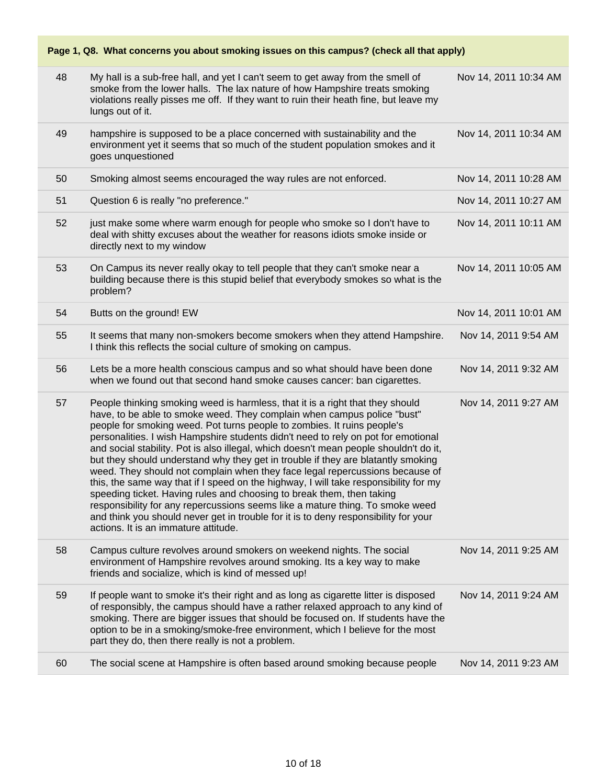**Page 1, Q8. What concerns you about smoking issues on this campus? (check all that apply)** 48 My hall is a sub-free hall, and yet I can't seem to get away from the smell of smoke from the lower halls. The lax nature of how Hampshire treats smoking violations really pisses me off. If they want to ruin their heath fine, but leave my lungs out of it. Nov 14, 2011 10:34 AM 49 hampshire is supposed to be a place concerned with sustainability and the environment yet it seems that so much of the student population smokes and it goes unquestioned Nov 14, 2011 10:34 AM 50 Smoking almost seems encouraged the way rules are not enforced. Nov 14, 2011 10:28 AM 51 Question 6 is really "no preference." Nov 14, 2011 10:27 AM 52 just make some where warm enough for people who smoke so I don't have to deal with shitty excuses about the weather for reasons idiots smoke inside or directly next to my window Nov 14, 2011 10:11 AM 53 On Campus its never really okay to tell people that they can't smoke near a building because there is this stupid belief that everybody smokes so what is the problem? Nov 14, 2011 10:05 AM 54 Butts on the ground! EW Nov 14, 2011 10:01 AM 55 It seems that many non-smokers become smokers when they attend Hampshire. I think this reflects the social culture of smoking on campus. Nov 14, 2011 9:54 AM 56 Lets be a more health conscious campus and so what should have been done when we found out that second hand smoke causes cancer: ban cigarettes. Nov 14, 2011 9:32 AM 57 People thinking smoking weed is harmless, that it is a right that they should have, to be able to smoke weed. They complain when campus police "bust" people for smoking weed. Pot turns people to zombies. It ruins people's personalities. I wish Hampshire students didn't need to rely on pot for emotional and social stability. Pot is also illegal, which doesn't mean people shouldn't do it, but they should understand why they get in trouble if they are blatantly smoking weed. They should not complain when they face legal repercussions because of this, the same way that if I speed on the highway, I will take responsibility for my speeding ticket. Having rules and choosing to break them, then taking responsibility for any repercussions seems like a mature thing. To smoke weed and think you should never get in trouble for it is to deny responsibility for your actions. It is an immature attitude. Nov 14, 2011 9:27 AM 58 Campus culture revolves around smokers on weekend nights. The social environment of Hampshire revolves around smoking. Its a key way to make friends and socialize, which is kind of messed up! Nov 14, 2011 9:25 AM 59 If people want to smoke it's their right and as long as cigarette litter is disposed of responsibly, the campus should have a rather relaxed approach to any kind of smoking. There are bigger issues that should be focused on. If students have the option to be in a smoking/smoke-free environment, which I believe for the most part they do, then there really is not a problem. Nov 14, 2011 9:24 AM 60 The social scene at Hampshire is often based around smoking because people Nov 14, 2011 9:23 AM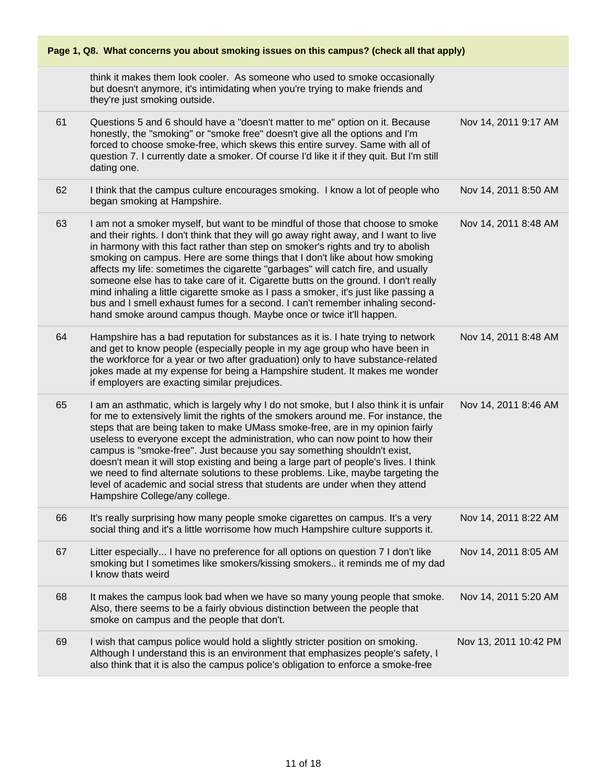| Page 1, Q8. What concerns you about smoking issues on this campus? (check all that apply) |                                                                                                                                                                                                                                                                                                                                                                                                                                                                                                                                                                                                                                                                                                                                                                    |                       |
|-------------------------------------------------------------------------------------------|--------------------------------------------------------------------------------------------------------------------------------------------------------------------------------------------------------------------------------------------------------------------------------------------------------------------------------------------------------------------------------------------------------------------------------------------------------------------------------------------------------------------------------------------------------------------------------------------------------------------------------------------------------------------------------------------------------------------------------------------------------------------|-----------------------|
|                                                                                           | think it makes them look cooler. As someone who used to smoke occasionally<br>but doesn't anymore, it's intimidating when you're trying to make friends and<br>they're just smoking outside.                                                                                                                                                                                                                                                                                                                                                                                                                                                                                                                                                                       |                       |
| 61                                                                                        | Questions 5 and 6 should have a "doesn't matter to me" option on it. Because<br>honestly, the "smoking" or "smoke free" doesn't give all the options and I'm<br>forced to choose smoke-free, which skews this entire survey. Same with all of<br>question 7. I currently date a smoker. Of course I'd like it if they quit. But I'm still<br>dating one.                                                                                                                                                                                                                                                                                                                                                                                                           | Nov 14, 2011 9:17 AM  |
| 62                                                                                        | I think that the campus culture encourages smoking. I know a lot of people who<br>began smoking at Hampshire.                                                                                                                                                                                                                                                                                                                                                                                                                                                                                                                                                                                                                                                      | Nov 14, 2011 8:50 AM  |
| 63                                                                                        | I am not a smoker myself, but want to be mindful of those that choose to smoke<br>and their rights. I don't think that they will go away right away, and I want to live<br>in harmony with this fact rather than step on smoker's rights and try to abolish<br>smoking on campus. Here are some things that I don't like about how smoking<br>affects my life: sometimes the cigarette "garbages" will catch fire, and usually<br>someone else has to take care of it. Cigarette butts on the ground. I don't really<br>mind inhaling a little cigarette smoke as I pass a smoker, it's just like passing a<br>bus and I smell exhaust fumes for a second. I can't remember inhaling second-<br>hand smoke around campus though. Maybe once or twice it'll happen. | Nov 14, 2011 8:48 AM  |
| 64                                                                                        | Hampshire has a bad reputation for substances as it is. I hate trying to network<br>and get to know people (especially people in my age group who have been in<br>the workforce for a year or two after graduation) only to have substance-related<br>jokes made at my expense for being a Hampshire student. It makes me wonder<br>if employers are exacting similar prejudices.                                                                                                                                                                                                                                                                                                                                                                                  | Nov 14, 2011 8:48 AM  |
| 65                                                                                        | I am an asthmatic, which is largely why I do not smoke, but I also think it is unfair<br>for me to extensively limit the rights of the smokers around me. For instance, the<br>steps that are being taken to make UMass smoke-free, are in my opinion fairly<br>useless to everyone except the administration, who can now point to how their<br>campus is "smoke-free". Just because you say something shouldn't exist,<br>doesn't mean it will stop existing and being a large part of people's lives. I think<br>we need to find alternate solutions to these problems. Like, maybe targeting the<br>level of academic and social stress that students are under when they attend<br>Hampshire College/any college.                                             | Nov 14, 2011 8:46 AM  |
| 66                                                                                        | It's really surprising how many people smoke cigarettes on campus. It's a very<br>social thing and it's a little worrisome how much Hampshire culture supports it.                                                                                                                                                                                                                                                                                                                                                                                                                                                                                                                                                                                                 | Nov 14, 2011 8:22 AM  |
| 67                                                                                        | Litter especially I have no preference for all options on question 7 I don't like<br>smoking but I sometimes like smokers/kissing smokers it reminds me of my dad<br>I know thats weird                                                                                                                                                                                                                                                                                                                                                                                                                                                                                                                                                                            | Nov 14, 2011 8:05 AM  |
| 68                                                                                        | It makes the campus look bad when we have so many young people that smoke.<br>Also, there seems to be a fairly obvious distinction between the people that<br>smoke on campus and the people that don't.                                                                                                                                                                                                                                                                                                                                                                                                                                                                                                                                                           | Nov 14, 2011 5:20 AM  |
| 69                                                                                        | I wish that campus police would hold a slightly stricter position on smoking.<br>Although I understand this is an environment that emphasizes people's safety, I<br>also think that it is also the campus police's obligation to enforce a smoke-free                                                                                                                                                                                                                                                                                                                                                                                                                                                                                                              | Nov 13, 2011 10:42 PM |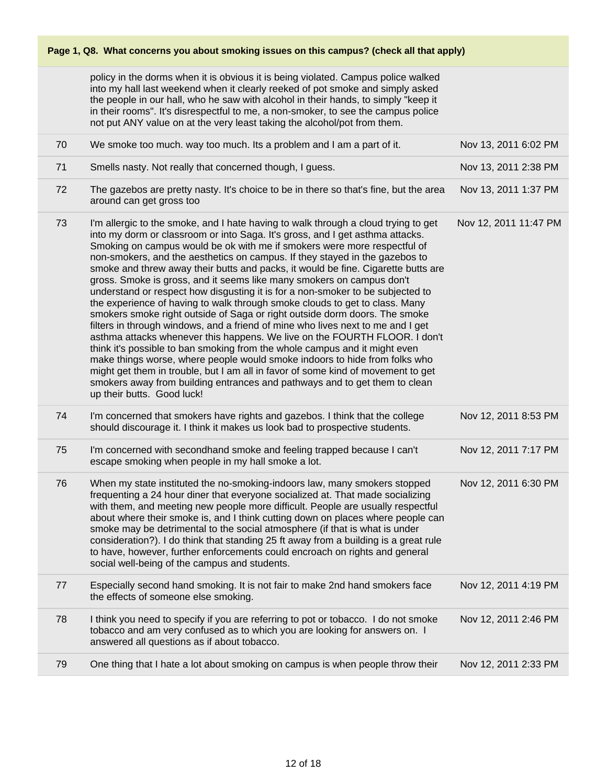policy in the dorms when it is obvious it is being violated. Campus police walked into my hall last weekend when it clearly reeked of pot smoke and simply asked the people in our hall, who he saw with alcohol in their hands, to simply "keep it in their rooms". It's disrespectful to me, a non-smoker, to see the campus police not put ANY value on at the very least taking the alcohol/pot from them.

| 70 | We smoke too much. way too much. Its a problem and I am a part of it.                                                                                                                                                                                                                                                                                                                                                                                                                                                                                                                                                                                                                                                                                                                                                                                                                                                                                                                                                                                                                                                                                                                                                                                                    | Nov 13, 2011 6:02 PM  |
|----|--------------------------------------------------------------------------------------------------------------------------------------------------------------------------------------------------------------------------------------------------------------------------------------------------------------------------------------------------------------------------------------------------------------------------------------------------------------------------------------------------------------------------------------------------------------------------------------------------------------------------------------------------------------------------------------------------------------------------------------------------------------------------------------------------------------------------------------------------------------------------------------------------------------------------------------------------------------------------------------------------------------------------------------------------------------------------------------------------------------------------------------------------------------------------------------------------------------------------------------------------------------------------|-----------------------|
| 71 | Smells nasty. Not really that concerned though, I guess.                                                                                                                                                                                                                                                                                                                                                                                                                                                                                                                                                                                                                                                                                                                                                                                                                                                                                                                                                                                                                                                                                                                                                                                                                 | Nov 13, 2011 2:38 PM  |
| 72 | The gazebos are pretty nasty. It's choice to be in there so that's fine, but the area<br>around can get gross too                                                                                                                                                                                                                                                                                                                                                                                                                                                                                                                                                                                                                                                                                                                                                                                                                                                                                                                                                                                                                                                                                                                                                        | Nov 13, 2011 1:37 PM  |
| 73 | I'm allergic to the smoke, and I hate having to walk through a cloud trying to get<br>into my dorm or classroom or into Saga. It's gross, and I get asthma attacks.<br>Smoking on campus would be ok with me if smokers were more respectful of<br>non-smokers, and the aesthetics on campus. If they stayed in the gazebos to<br>smoke and threw away their butts and packs, it would be fine. Cigarette butts are<br>gross. Smoke is gross, and it seems like many smokers on campus don't<br>understand or respect how disgusting it is for a non-smoker to be subjected to<br>the experience of having to walk through smoke clouds to get to class. Many<br>smokers smoke right outside of Saga or right outside dorm doors. The smoke<br>filters in through windows, and a friend of mine who lives next to me and I get<br>asthma attacks whenever this happens. We live on the FOURTH FLOOR. I don't<br>think it's possible to ban smoking from the whole campus and it might even<br>make things worse, where people would smoke indoors to hide from folks who<br>might get them in trouble, but I am all in favor of some kind of movement to get<br>smokers away from building entrances and pathways and to get them to clean<br>up their butts. Good luck! | Nov 12, 2011 11:47 PM |
| 74 | I'm concerned that smokers have rights and gazebos. I think that the college<br>should discourage it. I think it makes us look bad to prospective students.                                                                                                                                                                                                                                                                                                                                                                                                                                                                                                                                                                                                                                                                                                                                                                                                                                                                                                                                                                                                                                                                                                              | Nov 12, 2011 8:53 PM  |
| 75 | I'm concerned with secondhand smoke and feeling trapped because I can't<br>escape smoking when people in my hall smoke a lot.                                                                                                                                                                                                                                                                                                                                                                                                                                                                                                                                                                                                                                                                                                                                                                                                                                                                                                                                                                                                                                                                                                                                            | Nov 12, 2011 7:17 PM  |
| 76 | When my state instituted the no-smoking-indoors law, many smokers stopped<br>frequenting a 24 hour diner that everyone socialized at. That made socializing<br>with them, and meeting new people more difficult. People are usually respectful<br>about where their smoke is, and I think cutting down on places where people can<br>smoke may be detrimental to the social atmosphere (if that is what is under<br>consideration?). I do think that standing 25 ft away from a building is a great rule<br>to have, however, further enforcements could encroach on rights and general<br>social well-being of the campus and students.                                                                                                                                                                                                                                                                                                                                                                                                                                                                                                                                                                                                                                 | Nov 12, 2011 6:30 PM  |
| 77 | Especially second hand smoking. It is not fair to make 2nd hand smokers face<br>the effects of someone else smoking.                                                                                                                                                                                                                                                                                                                                                                                                                                                                                                                                                                                                                                                                                                                                                                                                                                                                                                                                                                                                                                                                                                                                                     | Nov 12, 2011 4:19 PM  |
| 78 | I think you need to specify if you are referring to pot or tobacco. I do not smoke<br>tobacco and am very confused as to which you are looking for answers on. I<br>answered all questions as if about tobacco.                                                                                                                                                                                                                                                                                                                                                                                                                                                                                                                                                                                                                                                                                                                                                                                                                                                                                                                                                                                                                                                          | Nov 12, 2011 2:46 PM  |
| 79 | One thing that I hate a lot about smoking on campus is when people throw their                                                                                                                                                                                                                                                                                                                                                                                                                                                                                                                                                                                                                                                                                                                                                                                                                                                                                                                                                                                                                                                                                                                                                                                           | Nov 12, 2011 2:33 PM  |
|    |                                                                                                                                                                                                                                                                                                                                                                                                                                                                                                                                                                                                                                                                                                                                                                                                                                                                                                                                                                                                                                                                                                                                                                                                                                                                          |                       |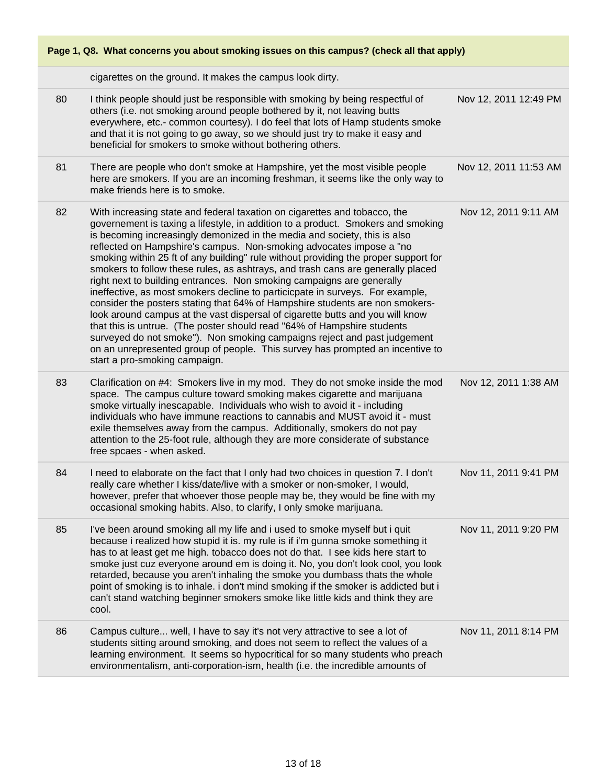

cigarettes on the ground. It makes the campus look dirty.

|    | cigarettes on the ground. It makes the campus look dirty.                                                                                                                                                                                                                                                                                                                                                                                                                                                                                                                                                                                                                                                                                                                                                                                                                                                                                                                                                                                                                                       |                       |
|----|-------------------------------------------------------------------------------------------------------------------------------------------------------------------------------------------------------------------------------------------------------------------------------------------------------------------------------------------------------------------------------------------------------------------------------------------------------------------------------------------------------------------------------------------------------------------------------------------------------------------------------------------------------------------------------------------------------------------------------------------------------------------------------------------------------------------------------------------------------------------------------------------------------------------------------------------------------------------------------------------------------------------------------------------------------------------------------------------------|-----------------------|
| 80 | I think people should just be responsible with smoking by being respectful of<br>others (i.e. not smoking around people bothered by it, not leaving butts<br>everywhere, etc.- common courtesy). I do feel that lots of Hamp students smoke<br>and that it is not going to go away, so we should just try to make it easy and<br>beneficial for smokers to smoke without bothering others.                                                                                                                                                                                                                                                                                                                                                                                                                                                                                                                                                                                                                                                                                                      | Nov 12, 2011 12:49 PM |
| 81 | There are people who don't smoke at Hampshire, yet the most visible people<br>here are smokers. If you are an incoming freshman, it seems like the only way to<br>make friends here is to smoke.                                                                                                                                                                                                                                                                                                                                                                                                                                                                                                                                                                                                                                                                                                                                                                                                                                                                                                | Nov 12, 2011 11:53 AM |
| 82 | With increasing state and federal taxation on cigarettes and tobacco, the<br>governement is taxing a lifestyle, in addition to a product. Smokers and smoking<br>is becoming increasingly demonized in the media and society, this is also<br>reflected on Hampshire's campus. Non-smoking advocates impose a "no<br>smoking within 25 ft of any building" rule without providing the proper support for<br>smokers to follow these rules, as ashtrays, and trash cans are generally placed<br>right next to building entrances. Non smoking campaigns are generally<br>ineffective, as most smokers decline to particicpate in surveys. For example,<br>consider the posters stating that 64% of Hampshire students are non smokers-<br>look around campus at the vast dispersal of cigarette butts and you will know<br>that this is untrue. (The poster should read "64% of Hampshire students<br>surveyed do not smoke"). Non smoking campaigns reject and past judgement<br>on an unrepresented group of people. This survey has prompted an incentive to<br>start a pro-smoking campaign. | Nov 12, 2011 9:11 AM  |
| 83 | Clarification on #4: Smokers live in my mod. They do not smoke inside the mod<br>space. The campus culture toward smoking makes cigarette and marijuana<br>smoke virtually inescapable. Individuals who wish to avoid it - including<br>individuals who have immune reactions to cannabis and MUST avoid it - must<br>exile themselves away from the campus. Additionally, smokers do not pay<br>attention to the 25-foot rule, although they are more considerate of substance<br>free spcaes - when asked.                                                                                                                                                                                                                                                                                                                                                                                                                                                                                                                                                                                    | Nov 12, 2011 1:38 AM  |
| 84 | I need to elaborate on the fact that I only had two choices in question 7. I don't<br>really care whether I kiss/date/live with a smoker or non-smoker, I would,<br>however, prefer that whoever those people may be, they would be fine with my<br>occasional smoking habits. Also, to clarify, I only smoke marijuana.                                                                                                                                                                                                                                                                                                                                                                                                                                                                                                                                                                                                                                                                                                                                                                        | Nov 11, 2011 9:41 PM  |
| 85 | I've been around smoking all my life and i used to smoke myself but i quit<br>because i realized how stupid it is. my rule is if i'm gunna smoke something it<br>has to at least get me high. tobacco does not do that. I see kids here start to<br>smoke just cuz everyone around em is doing it. No, you don't look cool, you look<br>retarded, because you aren't inhaling the smoke you dumbass thats the whole<br>point of smoking is to inhale. i don't mind smoking if the smoker is addicted but i<br>can't stand watching beginner smokers smoke like little kids and think they are<br>cool.                                                                                                                                                                                                                                                                                                                                                                                                                                                                                          | Nov 11, 2011 9:20 PM  |
| 86 | Campus culture well, I have to say it's not very attractive to see a lot of<br>students sitting around smoking, and does not seem to reflect the values of a<br>learning environment. It seems so hypocritical for so many students who preach<br>environmentalism, anti-corporation-ism, health (i.e. the incredible amounts of                                                                                                                                                                                                                                                                                                                                                                                                                                                                                                                                                                                                                                                                                                                                                                | Nov 11, 2011 8:14 PM  |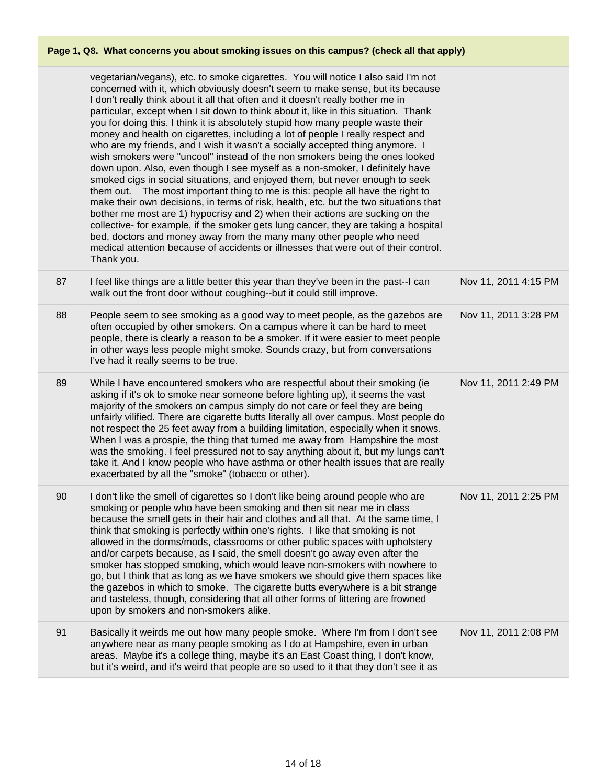|    | vegetarian/vegans), etc. to smoke cigarettes. You will notice I also said I'm not<br>concerned with it, which obviously doesn't seem to make sense, but its because<br>I don't really think about it all that often and it doesn't really bother me in<br>particular, except when I sit down to think about it, like in this situation. Thank<br>you for doing this. I think it is absolutely stupid how many people waste their<br>money and health on cigarettes, including a lot of people I really respect and<br>who are my friends, and I wish it wasn't a socially accepted thing anymore. I<br>wish smokers were "uncool" instead of the non smokers being the ones looked<br>down upon. Also, even though I see myself as a non-smoker, I definitely have<br>smoked cigs in social situations, and enjoyed them, but never enough to seek<br>them out. The most important thing to me is this: people all have the right to<br>make their own decisions, in terms of risk, health, etc. but the two situations that<br>bother me most are 1) hypocrisy and 2) when their actions are sucking on the<br>collective- for example, if the smoker gets lung cancer, they are taking a hospital<br>bed, doctors and money away from the many many other people who need<br>medical attention because of accidents or illnesses that were out of their control.<br>Thank you. |                      |
|----|----------------------------------------------------------------------------------------------------------------------------------------------------------------------------------------------------------------------------------------------------------------------------------------------------------------------------------------------------------------------------------------------------------------------------------------------------------------------------------------------------------------------------------------------------------------------------------------------------------------------------------------------------------------------------------------------------------------------------------------------------------------------------------------------------------------------------------------------------------------------------------------------------------------------------------------------------------------------------------------------------------------------------------------------------------------------------------------------------------------------------------------------------------------------------------------------------------------------------------------------------------------------------------------------------------------------------------------------------------------------------------|----------------------|
| 87 | I feel like things are a little better this year than they've been in the past--I can<br>walk out the front door without coughing--but it could still improve.                                                                                                                                                                                                                                                                                                                                                                                                                                                                                                                                                                                                                                                                                                                                                                                                                                                                                                                                                                                                                                                                                                                                                                                                                   | Nov 11, 2011 4:15 PM |
| 88 | People seem to see smoking as a good way to meet people, as the gazebos are<br>often occupied by other smokers. On a campus where it can be hard to meet<br>people, there is clearly a reason to be a smoker. If it were easier to meet people<br>in other ways less people might smoke. Sounds crazy, but from conversations<br>I've had it really seems to be true.                                                                                                                                                                                                                                                                                                                                                                                                                                                                                                                                                                                                                                                                                                                                                                                                                                                                                                                                                                                                            | Nov 11, 2011 3:28 PM |
| 89 | While I have encountered smokers who are respectful about their smoking (ie<br>asking if it's ok to smoke near someone before lighting up), it seems the vast<br>majority of the smokers on campus simply do not care or feel they are being<br>unfairly vilified. There are cigarette butts literally all over campus. Most people do<br>not respect the 25 feet away from a building limitation, especially when it snows.<br>When I was a prospie, the thing that turned me away from Hampshire the most<br>was the smoking. I feel pressured not to say anything about it, but my lungs can't<br>take it. And I know people who have asthma or other health issues that are really<br>exacerbated by all the "smoke" (tobacco or other).                                                                                                                                                                                                                                                                                                                                                                                                                                                                                                                                                                                                                                     | Nov 11, 2011 2:49 PM |
| 90 | I don't like the smell of cigarettes so I don't like being around people who are<br>smoking or people who have been smoking and then sit near me in class<br>because the smell gets in their hair and clothes and all that. At the same time, I<br>think that smoking is perfectly within one's rights. I like that smoking is not<br>allowed in the dorms/mods, classrooms or other public spaces with upholstery<br>and/or carpets because, as I said, the smell doesn't go away even after the<br>smoker has stopped smoking, which would leave non-smokers with nowhere to<br>go, but I think that as long as we have smokers we should give them spaces like<br>the gazebos in which to smoke. The cigarette butts everywhere is a bit strange<br>and tasteless, though, considering that all other forms of littering are frowned<br>upon by smokers and non-smokers alike.                                                                                                                                                                                                                                                                                                                                                                                                                                                                                                | Nov 11, 2011 2:25 PM |
| 91 | Basically it weirds me out how many people smoke. Where I'm from I don't see<br>anywhere near as many people smoking as I do at Hampshire, even in urban<br>areas. Maybe it's a college thing, maybe it's an East Coast thing, I don't know,<br>but it's weird, and it's weird that people are so used to it that they don't see it as                                                                                                                                                                                                                                                                                                                                                                                                                                                                                                                                                                                                                                                                                                                                                                                                                                                                                                                                                                                                                                           | Nov 11, 2011 2:08 PM |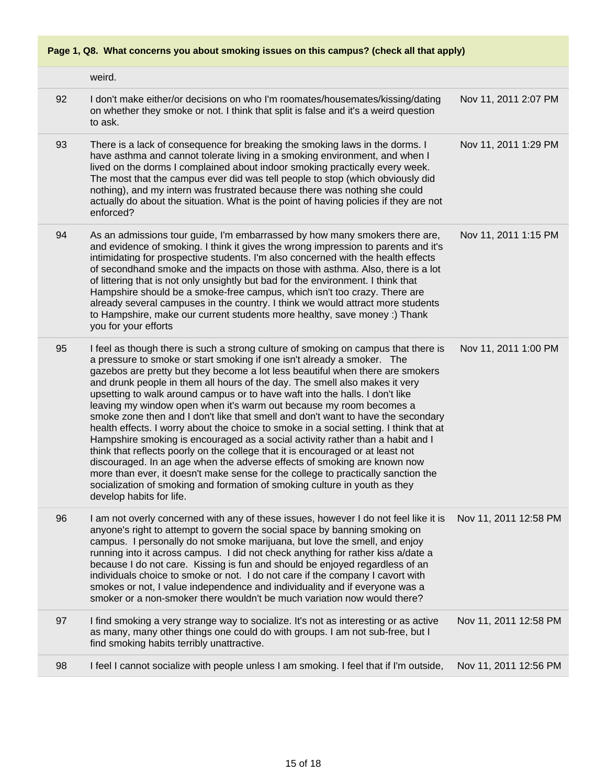|  |  |  |  | Page 1, Q8. What concerns you about smoking issues on this campus? (check all that apply) |
|--|--|--|--|-------------------------------------------------------------------------------------------|
|--|--|--|--|-------------------------------------------------------------------------------------------|

|    | weird.                                                                                                                                                                                                                                                                                                                                                                                                                                                                                                                                                                                                                                                                                                                                                                                                                                                                                                                                                                                                                                                                                                              |                       |
|----|---------------------------------------------------------------------------------------------------------------------------------------------------------------------------------------------------------------------------------------------------------------------------------------------------------------------------------------------------------------------------------------------------------------------------------------------------------------------------------------------------------------------------------------------------------------------------------------------------------------------------------------------------------------------------------------------------------------------------------------------------------------------------------------------------------------------------------------------------------------------------------------------------------------------------------------------------------------------------------------------------------------------------------------------------------------------------------------------------------------------|-----------------------|
| 92 | I don't make either/or decisions on who I'm roomates/housemates/kissing/dating<br>on whether they smoke or not. I think that split is false and it's a weird question<br>to ask.                                                                                                                                                                                                                                                                                                                                                                                                                                                                                                                                                                                                                                                                                                                                                                                                                                                                                                                                    | Nov 11, 2011 2:07 PM  |
| 93 | There is a lack of consequence for breaking the smoking laws in the dorms. I<br>have asthma and cannot tolerate living in a smoking environment, and when I<br>lived on the dorms I complained about indoor smoking practically every week.<br>The most that the campus ever did was tell people to stop (which obviously did<br>nothing), and my intern was frustrated because there was nothing she could<br>actually do about the situation. What is the point of having policies if they are not<br>enforced?                                                                                                                                                                                                                                                                                                                                                                                                                                                                                                                                                                                                   | Nov 11, 2011 1:29 PM  |
| 94 | As an admissions tour guide, I'm embarrassed by how many smokers there are,<br>and evidence of smoking. I think it gives the wrong impression to parents and it's<br>intimidating for prospective students. I'm also concerned with the health effects<br>of secondhand smoke and the impacts on those with asthma. Also, there is a lot<br>of littering that is not only unsightly but bad for the environment. I think that<br>Hampshire should be a smoke-free campus, which isn't too crazy. There are<br>already several campuses in the country. I think we would attract more students<br>to Hampshire, make our current students more healthy, save money :) Thank<br>you for your efforts                                                                                                                                                                                                                                                                                                                                                                                                                  | Nov 11, 2011 1:15 PM  |
| 95 | I feel as though there is such a strong culture of smoking on campus that there is<br>a pressure to smoke or start smoking if one isn't already a smoker. The<br>gazebos are pretty but they become a lot less beautiful when there are smokers<br>and drunk people in them all hours of the day. The smell also makes it very<br>upsetting to walk around campus or to have waft into the halls. I don't like<br>leaving my window open when it's warm out because my room becomes a<br>smoke zone then and I don't like that smell and don't want to have the secondary<br>health effects. I worry about the choice to smoke in a social setting. I think that at<br>Hampshire smoking is encouraged as a social activity rather than a habit and I<br>think that reflects poorly on the college that it is encouraged or at least not<br>discouraged. In an age when the adverse effects of smoking are known now<br>more than ever, it doesn't make sense for the college to practically sanction the<br>socialization of smoking and formation of smoking culture in youth as they<br>develop habits for life. | Nov 11, 2011 1:00 PM  |
| 96 | I am not overly concerned with any of these issues, however I do not feel like it is<br>anyone's right to attempt to govern the social space by banning smoking on<br>campus. I personally do not smoke marijuana, but love the smell, and enjoy<br>running into it across campus. I did not check anything for rather kiss a/date a<br>because I do not care. Kissing is fun and should be enjoyed regardless of an<br>individuals choice to smoke or not. I do not care if the company I cavort with<br>smokes or not, I value independence and individuality and if everyone was a<br>smoker or a non-smoker there wouldn't be much variation now would there?                                                                                                                                                                                                                                                                                                                                                                                                                                                   | Nov 11, 2011 12:58 PM |
| 97 | I find smoking a very strange way to socialize. It's not as interesting or as active<br>as many, many other things one could do with groups. I am not sub-free, but I<br>find smoking habits terribly unattractive.                                                                                                                                                                                                                                                                                                                                                                                                                                                                                                                                                                                                                                                                                                                                                                                                                                                                                                 | Nov 11, 2011 12:58 PM |
| 98 | I feel I cannot socialize with people unless I am smoking. I feel that if I'm outside,                                                                                                                                                                                                                                                                                                                                                                                                                                                                                                                                                                                                                                                                                                                                                                                                                                                                                                                                                                                                                              | Nov 11, 2011 12:56 PM |
|    |                                                                                                                                                                                                                                                                                                                                                                                                                                                                                                                                                                                                                                                                                                                                                                                                                                                                                                                                                                                                                                                                                                                     |                       |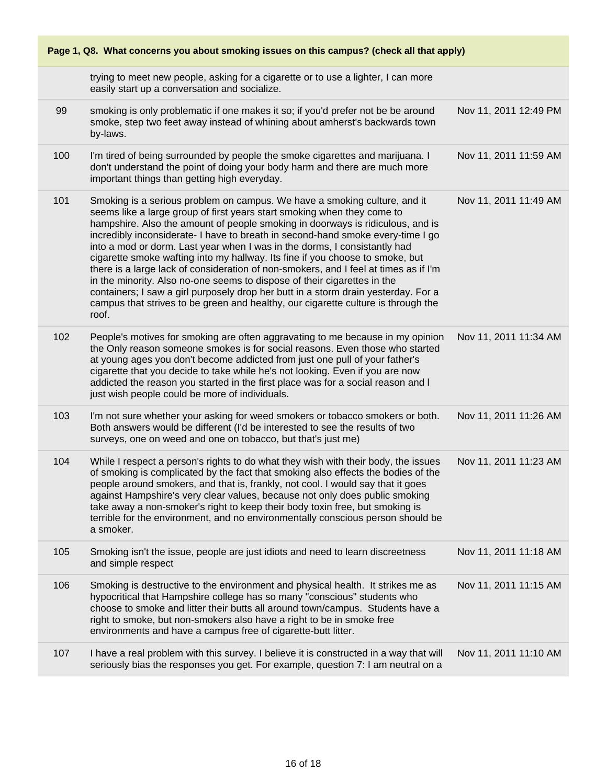| Page 1, Q8. What concerns you about smoking issues on this campus? (check all that apply) |                                                                                                                                                                                                                                                                                                                                                                                                                                                                                                                                                                                                                                                                                                                                                                                                                                                 |                       |  |
|-------------------------------------------------------------------------------------------|-------------------------------------------------------------------------------------------------------------------------------------------------------------------------------------------------------------------------------------------------------------------------------------------------------------------------------------------------------------------------------------------------------------------------------------------------------------------------------------------------------------------------------------------------------------------------------------------------------------------------------------------------------------------------------------------------------------------------------------------------------------------------------------------------------------------------------------------------|-----------------------|--|
|                                                                                           | trying to meet new people, asking for a cigarette or to use a lighter, I can more<br>easily start up a conversation and socialize.                                                                                                                                                                                                                                                                                                                                                                                                                                                                                                                                                                                                                                                                                                              |                       |  |
| 99                                                                                        | smoking is only problematic if one makes it so; if you'd prefer not be be around<br>smoke, step two feet away instead of whining about amherst's backwards town<br>by-laws.                                                                                                                                                                                                                                                                                                                                                                                                                                                                                                                                                                                                                                                                     | Nov 11, 2011 12:49 PM |  |
| 100                                                                                       | I'm tired of being surrounded by people the smoke cigarettes and marijuana. I<br>don't understand the point of doing your body harm and there are much more<br>important things than getting high everyday.                                                                                                                                                                                                                                                                                                                                                                                                                                                                                                                                                                                                                                     | Nov 11, 2011 11:59 AM |  |
| 101                                                                                       | Smoking is a serious problem on campus. We have a smoking culture, and it<br>seems like a large group of first years start smoking when they come to<br>hampshire. Also the amount of people smoking in doorways is ridiculous, and is<br>incredibly inconsiderate- I have to breath in second-hand smoke every-time I go<br>into a mod or dorm. Last year when I was in the dorms, I consistantly had<br>cigarette smoke wafting into my hallway. Its fine if you choose to smoke, but<br>there is a large lack of consideration of non-smokers, and I feel at times as if I'm<br>in the minority. Also no-one seems to dispose of their cigarettes in the<br>containers; I saw a girl purposely drop her butt in a storm drain yesterday. For a<br>campus that strives to be green and healthy, our cigarette culture is through the<br>roof. | Nov 11, 2011 11:49 AM |  |
| 102                                                                                       | People's motives for smoking are often aggravating to me because in my opinion<br>the Only reason someone smokes is for social reasons. Even those who started<br>at young ages you don't become addicted from just one pull of your father's<br>cigarette that you decide to take while he's not looking. Even if you are now<br>addicted the reason you started in the first place was for a social reason and I<br>just wish people could be more of individuals.                                                                                                                                                                                                                                                                                                                                                                            | Nov 11, 2011 11:34 AM |  |
| 103                                                                                       | I'm not sure whether your asking for weed smokers or tobacco smokers or both.<br>Both answers would be different (I'd be interested to see the results of two<br>surveys, one on weed and one on tobacco, but that's just me)                                                                                                                                                                                                                                                                                                                                                                                                                                                                                                                                                                                                                   | Nov 11, 2011 11:26 AM |  |
| 104                                                                                       | While I respect a person's rights to do what they wish with their body, the issues<br>of smoking is complicated by the fact that smoking also effects the bodies of the<br>people around smokers, and that is, frankly, not cool. I would say that it goes<br>against Hampshire's very clear values, because not only does public smoking<br>take away a non-smoker's right to keep their body toxin free, but smoking is<br>terrible for the environment, and no environmentally conscious person should be<br>a smoker.                                                                                                                                                                                                                                                                                                                       | Nov 11, 2011 11:23 AM |  |
| 105                                                                                       | Smoking isn't the issue, people are just idiots and need to learn discreetness<br>and simple respect                                                                                                                                                                                                                                                                                                                                                                                                                                                                                                                                                                                                                                                                                                                                            | Nov 11, 2011 11:18 AM |  |
| 106                                                                                       | Smoking is destructive to the environment and physical health. It strikes me as<br>hypocritical that Hampshire college has so many "conscious" students who<br>choose to smoke and litter their butts all around town/campus. Students have a<br>right to smoke, but non-smokers also have a right to be in smoke free<br>environments and have a campus free of cigarette-butt litter.                                                                                                                                                                                                                                                                                                                                                                                                                                                         | Nov 11, 2011 11:15 AM |  |
| 107                                                                                       | I have a real problem with this survey. I believe it is constructed in a way that will<br>seriously bias the responses you get. For example, question 7: I am neutral on a                                                                                                                                                                                                                                                                                                                                                                                                                                                                                                                                                                                                                                                                      | Nov 11, 2011 11:10 AM |  |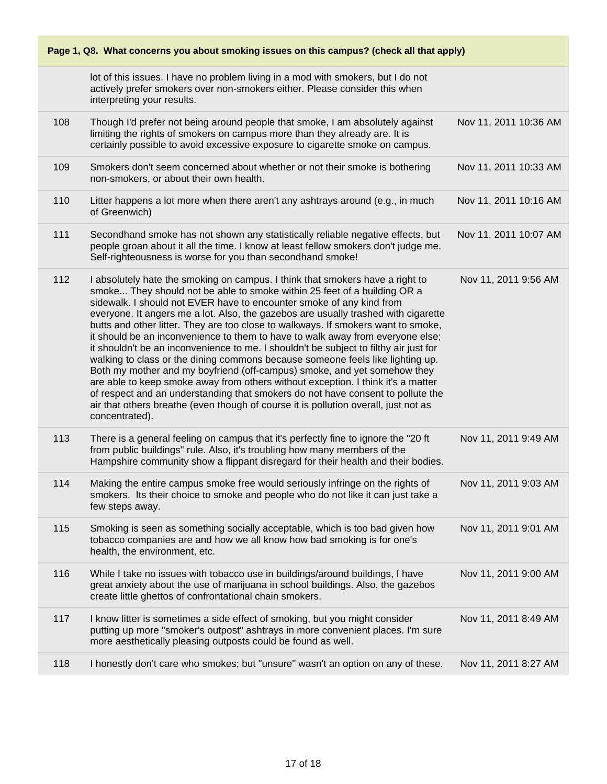| Page 1, Q8. What concerns you about smoking issues on this campus? (check all that apply) |                                                                                                                                                                                                                                                                                                                                                                                                                                                                                                                                                                                                                                                                                                                                                                                                                                                                                                                                                                                                                                       |                       |  |
|-------------------------------------------------------------------------------------------|---------------------------------------------------------------------------------------------------------------------------------------------------------------------------------------------------------------------------------------------------------------------------------------------------------------------------------------------------------------------------------------------------------------------------------------------------------------------------------------------------------------------------------------------------------------------------------------------------------------------------------------------------------------------------------------------------------------------------------------------------------------------------------------------------------------------------------------------------------------------------------------------------------------------------------------------------------------------------------------------------------------------------------------|-----------------------|--|
|                                                                                           | lot of this issues. I have no problem living in a mod with smokers, but I do not<br>actively prefer smokers over non-smokers either. Please consider this when<br>interpreting your results.                                                                                                                                                                                                                                                                                                                                                                                                                                                                                                                                                                                                                                                                                                                                                                                                                                          |                       |  |
| 108                                                                                       | Though I'd prefer not being around people that smoke, I am absolutely against<br>limiting the rights of smokers on campus more than they already are. It is<br>certainly possible to avoid excessive exposure to cigarette smoke on campus.                                                                                                                                                                                                                                                                                                                                                                                                                                                                                                                                                                                                                                                                                                                                                                                           | Nov 11, 2011 10:36 AM |  |
| 109                                                                                       | Smokers don't seem concerned about whether or not their smoke is bothering<br>non-smokers, or about their own health.                                                                                                                                                                                                                                                                                                                                                                                                                                                                                                                                                                                                                                                                                                                                                                                                                                                                                                                 | Nov 11, 2011 10:33 AM |  |
| 110                                                                                       | Litter happens a lot more when there aren't any ashtrays around (e.g., in much<br>of Greenwich)                                                                                                                                                                                                                                                                                                                                                                                                                                                                                                                                                                                                                                                                                                                                                                                                                                                                                                                                       | Nov 11, 2011 10:16 AM |  |
| 111                                                                                       | Secondhand smoke has not shown any statistically reliable negative effects, but<br>people groan about it all the time. I know at least fellow smokers don't judge me.<br>Self-righteousness is worse for you than secondhand smoke!                                                                                                                                                                                                                                                                                                                                                                                                                                                                                                                                                                                                                                                                                                                                                                                                   | Nov 11, 2011 10:07 AM |  |
| 112                                                                                       | I absolutely hate the smoking on campus. I think that smokers have a right to<br>smoke They should not be able to smoke within 25 feet of a building OR a<br>sidewalk. I should not EVER have to encounter smoke of any kind from<br>everyone. It angers me a lot. Also, the gazebos are usually trashed with cigarette<br>butts and other litter. They are too close to walkways. If smokers want to smoke,<br>it should be an inconvenience to them to have to walk away from everyone else;<br>it shouldn't be an inconvenience to me. I shouldn't be subject to filthy air just for<br>walking to class or the dining commons because someone feels like lighting up.<br>Both my mother and my boyfriend (off-campus) smoke, and yet somehow they<br>are able to keep smoke away from others without exception. I think it's a matter<br>of respect and an understanding that smokers do not have consent to pollute the<br>air that others breathe (even though of course it is pollution overall, just not as<br>concentrated). | Nov 11, 2011 9:56 AM  |  |
| 113                                                                                       | There is a general feeling on campus that it's perfectly fine to ignore the "20 ft"<br>from public buildings" rule. Also, it's troubling how many members of the<br>Hampshire community show a flippant disregard for their health and their bodies.                                                                                                                                                                                                                                                                                                                                                                                                                                                                                                                                                                                                                                                                                                                                                                                  | Nov 11, 2011 9:49 AM  |  |
| 114                                                                                       | Making the entire campus smoke free would seriously infringe on the rights of<br>smokers. Its their choice to smoke and people who do not like it can just take a<br>few steps away.                                                                                                                                                                                                                                                                                                                                                                                                                                                                                                                                                                                                                                                                                                                                                                                                                                                  | Nov 11, 2011 9:03 AM  |  |
| 115                                                                                       | Smoking is seen as something socially acceptable, which is too bad given how<br>tobacco companies are and how we all know how bad smoking is for one's<br>health, the environment, etc.                                                                                                                                                                                                                                                                                                                                                                                                                                                                                                                                                                                                                                                                                                                                                                                                                                               | Nov 11, 2011 9:01 AM  |  |
| 116                                                                                       | While I take no issues with tobacco use in buildings/around buildings, I have<br>great anxiety about the use of marijuana in school buildings. Also, the gazebos<br>create little ghettos of confrontational chain smokers.                                                                                                                                                                                                                                                                                                                                                                                                                                                                                                                                                                                                                                                                                                                                                                                                           | Nov 11, 2011 9:00 AM  |  |
| 117                                                                                       | I know litter is sometimes a side effect of smoking, but you might consider<br>putting up more "smoker's outpost" ashtrays in more convenient places. I'm sure<br>more aesthetically pleasing outposts could be found as well.                                                                                                                                                                                                                                                                                                                                                                                                                                                                                                                                                                                                                                                                                                                                                                                                        | Nov 11, 2011 8:49 AM  |  |
| 118                                                                                       | I honestly don't care who smokes; but "unsure" wasn't an option on any of these.                                                                                                                                                                                                                                                                                                                                                                                                                                                                                                                                                                                                                                                                                                                                                                                                                                                                                                                                                      | Nov 11, 2011 8:27 AM  |  |